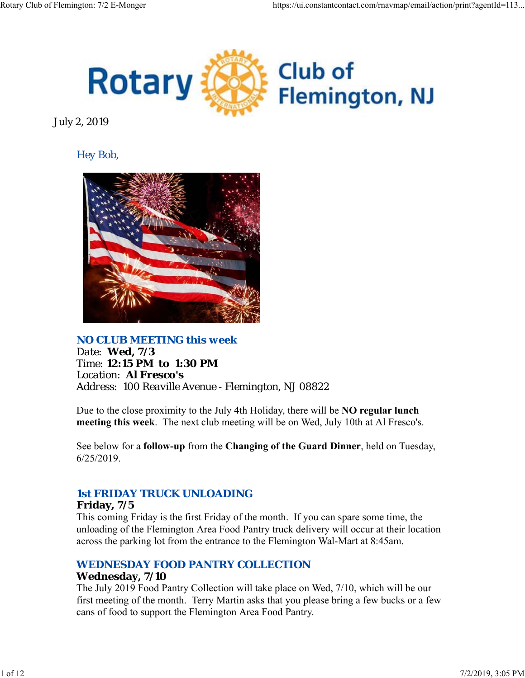

July 2, 2019

# *Hey Bob,*



*NO CLUB MEETING this week Date: Wed, 7/3 Time: 12:15 PM to 1:30 PM Location: Al Fresco's Address: 100 Reaville Avenue - Flemington, NJ 08822*

Due to the close proximity to the July 4th Holiday, there will be **NO regular lunch meeting this week**. The next club meeting will be on Wed, July 10th at Al Fresco's.

See below for a **follow-up** from the **Changing of the Guard Dinner**, held on Tuesday, 6/25/2019.

# *1st FRIDAY TRUCK UNLOADING*

### **Friday, 7/5**

This coming Friday is the first Friday of the month. If you can spare some time, the unloading of the Flemington Area Food Pantry truck delivery will occur at their location across the parking lot from the entrance to the Flemington Wal-Mart at 8:45am.

# *WEDNESDAY FOOD PANTRY COLLECTION*

### **Wednesday, 7/10**

The July 2019 Food Pantry Collection will take place on Wed, 7/10, which will be our first meeting of the month. Terry Martin asks that you please bring a few bucks or a few cans of food to support the Flemington Area Food Pantry.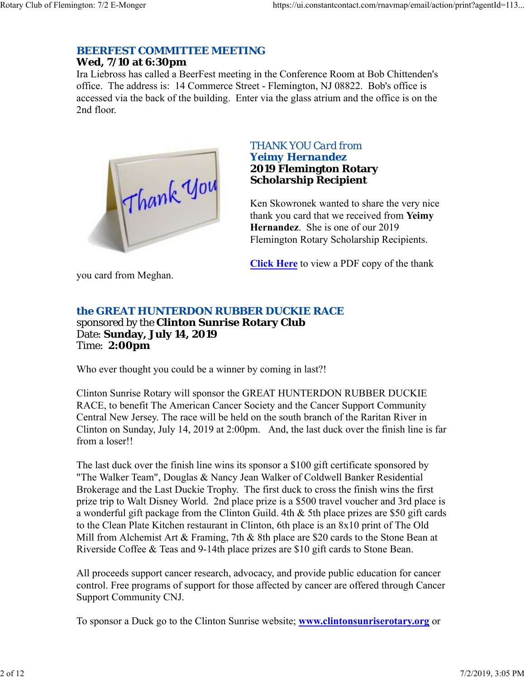# *BEERFEST COMMITTEE MEETING*

### **Wed, 7/10 at 6:30pm**

Ira Liebross has called a BeerFest meeting in the Conference Room at Bob Chittenden's office. The address is: 14 Commerce Street - Flemington, NJ 08822. Bob's office is accessed via the back of the building. Enter via the glass atrium and the office is on the 2nd floor.



### *THANK YOU Card from Yeimy Hernandez* **2019 Flemington Rotary**

**Scholarship Recipient**

Ken Skowronek wanted to share the very nice thank you card that we received from **Yeimy Hernandez**. She is one of our 2019 Flemington Rotary Scholarship Recipients.

**Click Here** to view a PDF copy of the thank

you card from Meghan.

# *the GREAT HUNTERDON RUBBER DUCKIE RACE*

sponsored by the **Clinton Sunrise Rotary Club** Date: **Sunday, July 14, 2019** Time: **2:00pm**

Who ever thought you could be a winner by coming in last?!

Clinton Sunrise Rotary will sponsor the GREAT HUNTERDON RUBBER DUCKIE RACE, to benefit The American Cancer Society and the Cancer Support Community Central New Jersey. The race will be held on the south branch of the Raritan River in Clinton on Sunday, July 14, 2019 at 2:00pm. And, the last duck over the finish line is far from a loser!!

The last duck over the finish line wins its sponsor a \$100 gift certificate sponsored by "The Walker Team", Douglas & Nancy Jean Walker of Coldwell Banker Residential Brokerage and the Last Duckie Trophy. The first duck to cross the finish wins the first prize trip to Walt Disney World. 2nd place prize is a \$500 travel voucher and 3rd place is a wonderful gift package from the Clinton Guild. 4th & 5th place prizes are \$50 gift cards to the Clean Plate Kitchen restaurant in Clinton, 6th place is an 8x10 print of The Old Mill from Alchemist Art & Framing, 7th & 8th place are \$20 cards to the Stone Bean at Riverside Coffee & Teas and 9-14th place prizes are \$10 gift cards to Stone Bean.

All proceeds support cancer research, advocacy, and provide public education for cancer control. Free programs of support for those affected by cancer are offered through Cancer Support Community CNJ.

To sponsor a Duck go to the Clinton Sunrise website; **www.clintonsunriserotary.org** or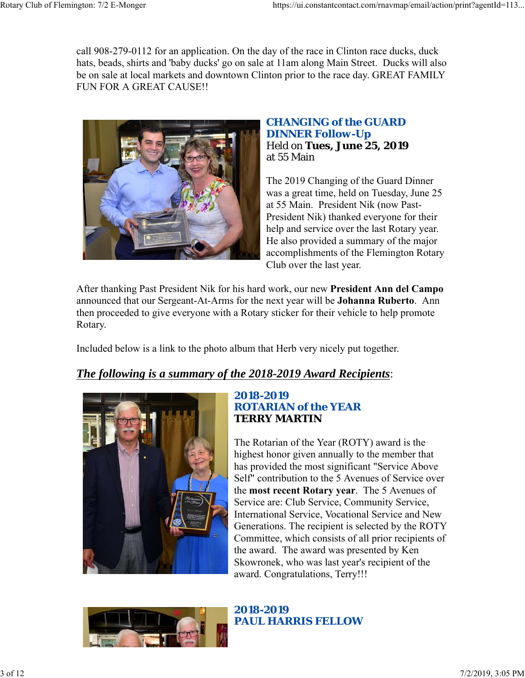call 908-279-0112 for an application. On the day of the race in Clinton race ducks, duck hats, beads, shirts and 'baby ducks' go on sale at 11am along Main Street. Ducks will also be on sale at local markets and downtown Clinton prior to the race day. GREAT FAMILY FUN FOR A GREAT CAUSE!!



### *CHANGING of the GUARD DINNER Follow-Up* Held on **Tues, June 25, 2019** at 55 Main

The 2019 Changing of the Guard Dinner was a great time, held on Tuesday, June 25 at 55 Main. President Nik (now Past-President Nik) thanked everyone for their help and service over the last Rotary year. He also provided a summary of the major accomplishments of the Flemington Rotary Club over the last year.

After thanking Past President Nik for his hard work, our new **President Ann del Campo** announced that our Sergeant-At-Arms for the next year will be **Johanna Ruberto**. Ann then proceeded to give everyone with a Rotary sticker for their vehicle to help promote Rotary.

Included below is a link to the photo album that Herb very nicely put together.

# *The following is a summary of the 2018-2019 Award Recipients*:



### *2018-2019 ROTARIAN of the YEAR* **TERRY MARTIN**

The Rotarian of the Year (ROTY) award is the highest honor given annually to the member that has provided the most significant "Service Above Self" contribution to the 5 Avenues of Service over the **most recent Rotary year**. The 5 Avenues of Service are: Club Service, Community Service, International Service, Vocational Service and New Generations. The recipient is selected by the ROTY Committee, which consists of all prior recipients of the award. The award was presented by Ken Skowronek, who was last year's recipient of the award. Congratulations, Terry!!!



*2018-2019 PAUL HARRIS FELLOW*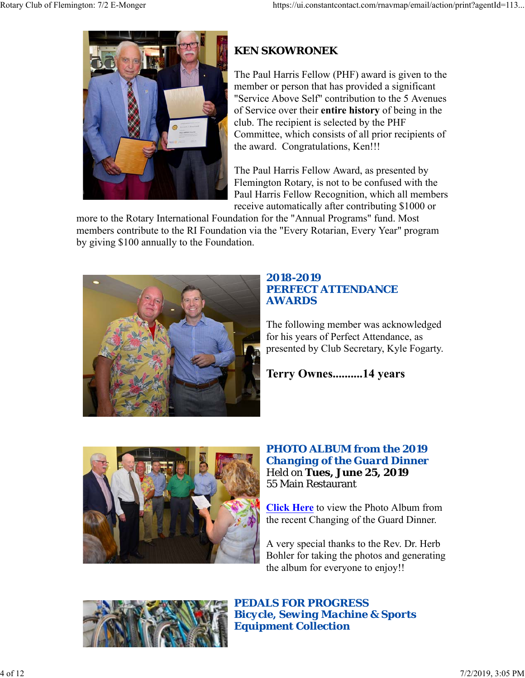

# **KEN SKOWRONEK**

The Paul Harris Fellow (PHF) award is given to the member or person that has provided a significant "Service Above Self" contribution to the 5 Avenues of Service over their **entire history** of being in the club. The recipient is selected by the PHF Committee, which consists of all prior recipients of the award. Congratulations, Ken!!!

The Paul Harris Fellow Award, as presented by Flemington Rotary, is not to be confused with the Paul Harris Fellow Recognition, which all members receive automatically after contributing \$1000 or

more to the Rotary International Foundation for the "Annual Programs" fund. Most members contribute to the RI Foundation via the "Every Rotarian, Every Year" program by giving \$100 annually to the Foundation.



# *2018-2019 PERFECT ATTENDANCE AWARDS*

The following member was acknowledged for his years of Perfect Attendance, as presented by Club Secretary, Kyle Fogarty.

**Terry Ownes..........14 years**



## *PHOTO ALBUM from the 2019 Changing of the Guard Dinner* Held on **Tues, June 25, 2019** 55 Main Restaurant

**Click Here** to view the Photo Album from the recent Changing of the Guard Dinner.

A very special thanks to the Rev. Dr. Herb Bohler for taking the photos and generating the album for everyone to enjoy!!



*PEDALS FOR PROGRESS Bicycle, Sewing Machine & Sports Equipment Collection*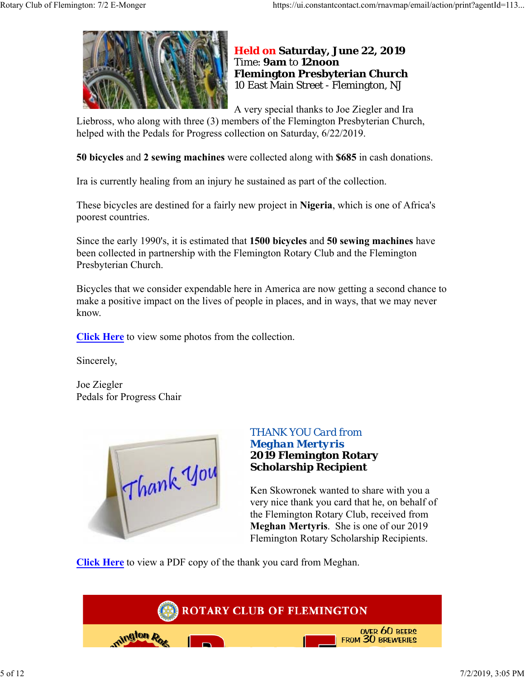

### **Held on Saturday, June 22, 2019** Time: **9am** to **12noon Flemington Presbyterian Church** 10 East Main Street - Flemington, NJ

A very special thanks to Joe Ziegler and Ira

Liebross, who along with three (3) members of the Flemington Presbyterian Church, helped with the Pedals for Progress collection on Saturday, 6/22/2019.

**50 bicycles** and **2 sewing machines** were collected along with **\$685** in cash donations.

Ira is currently healing from an injury he sustained as part of the collection.

These bicycles are destined for a fairly new project in **Nigeria**, which is one of Africa's poorest countries.

Since the early 1990's, it is estimated that **1500 bicycles** and **50 sewing machines** have been collected in partnership with the Flemington Rotary Club and the Flemington Presbyterian Church.

Bicycles that we consider expendable here in America are now getting a second chance to make a positive impact on the lives of people in places, and in ways, that we may never know.

**Click Here** to view some photos from the collection.

Sincerely,

Joe Ziegler Pedals for Progress Chair



### *THANK YOU Card from Meghan Mertyris* **2019 Flemington Rotary Scholarship Recipient**

Ken Skowronek wanted to share with you a very nice thank you card that he, on behalf of the Flemington Rotary Club, received from **Meghan Mertyris**. She is one of our 2019 Flemington Rotary Scholarship Recipients.

**Click Here** to view a PDF copy of the thank you card from Meghan.

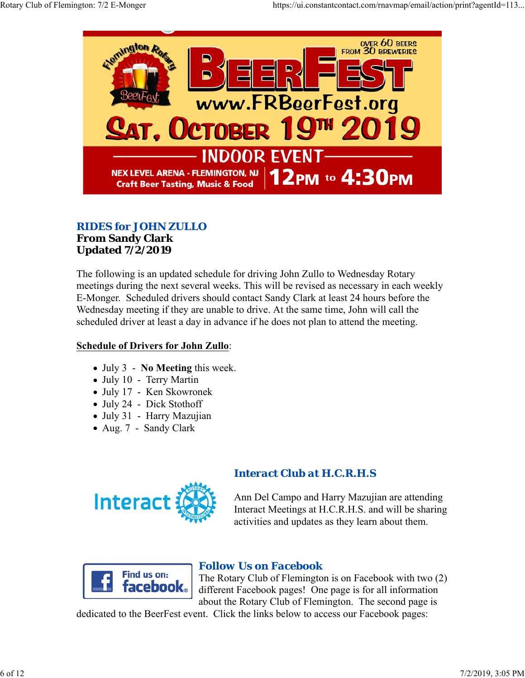

# *RIDES for JOHN ZULLO*

#### **From Sandy Clark Updated 7/2/2019**

The following is an updated schedule for driving John Zullo to Wednesday Rotary meetings during the next several weeks. This will be revised as necessary in each weekly E-Monger. Scheduled drivers should contact Sandy Clark at least 24 hours before the Wednesday meeting if they are unable to drive. At the same time, John will call the scheduled driver at least a day in advance if he does not plan to attend the meeting.

# **Schedule of Drivers for John Zullo**:

- July 3 **No Meeting** this week.
- July 10 Terry Martin
- July 17 Ken Skowronek
- July 24 Dick Stothoff
- July 31 Harry Mazujian
- Aug. 7 Sandy Clark



# *Interact Club at H.C.R.H.S*

Ann Del Campo and Harry Mazujian are attending Interact Meetings at H.C.R.H.S. and will be sharing activities and updates as they learn about them.



# *Follow Us on Facebook*

The Rotary Club of Flemington is on Facebook with two (2) different Facebook pages! One page is for all information about the Rotary Club of Flemington. The second page is

dedicated to the BeerFest event. Click the links below to access our Facebook pages: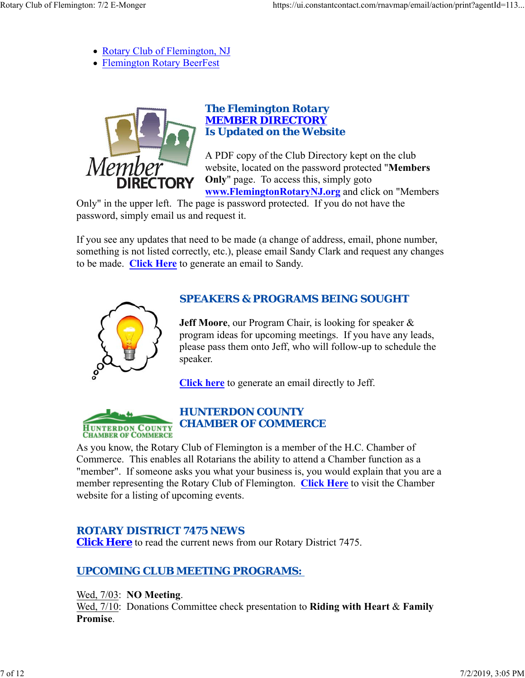- Rotary Club of Flemington, NJ
- Flemington Rotary BeerFest



### *The Flemington Rotary MEMBER DIRECTORY Is Updated on the Website*

A PDF copy of the Club Directory kept on the club website, located on the password protected "**Members Only**" page. To access this, simply goto **www.FlemingtonRotaryNJ.org** and click on "Members

Only" in the upper left. The page is password protected. If you do not have the password, simply email us and request it.

If you see any updates that need to be made (a change of address, email, phone number, something is not listed correctly, etc.), please email Sandy Clark and request any changes to be made. **Click Here** to generate an email to Sandy.



# *SPEAKERS & PROGRAMS BEING SOUGHT*

**Jeff Moore**, our Program Chair, is looking for speaker & program ideas for upcoming meetings. If you have any leads, please pass them onto Jeff, who will follow-up to schedule the speaker.

**Click here** to generate an email directly to Jeff.



# *HUNTERDON COUNTY CHAMBER OF COMMERCE*

As you know, the Rotary Club of Flemington is a member of the H.C. Chamber of Commerce. This enables all Rotarians the ability to attend a Chamber function as a "member". If someone asks you what your business is, you would explain that you are a member representing the Rotary Club of Flemington. **Click Here** to visit the Chamber website for a listing of upcoming events.

# *ROTARY DISTRICT 7475 NEWS*

**Click Here** to read the current news from our Rotary District 7475.

# *UPCOMING CLUB MEETING PROGRAMS:*

Wed, 7/03: **NO Meeting**. Wed, 7/10: Donations Committee check presentation to **Riding with Heart** & **Family Promise**.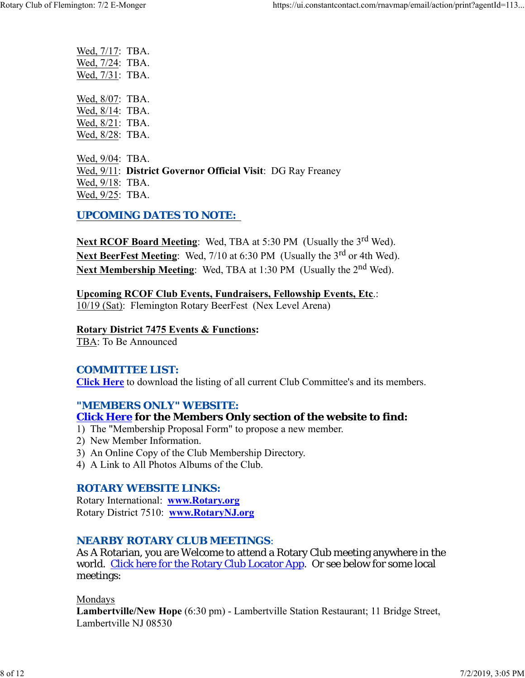| Wed, 7/17: TBA. |  |
|-----------------|--|
| Wed, 7/24: TBA. |  |
| Wed, 7/31: TBA. |  |
|                 |  |
| Wed, 8/07: TBA. |  |
| Wed, 8/14: TBA. |  |
| Wed, 8/21: TBA. |  |
| Wed, 8/28: TBA. |  |
|                 |  |
| Wed, 9/04: TBA. |  |
|                 |  |

Wed, 9/11: **District Governor Official Visit**: DG Ray Freaney Wed, 9/18: TBA. Wed, 9/25: TBA.

### *UPCOMING DATES TO NOTE:*

Next RCOF Board Meeting: Wed, TBA at 5:30 PM (Usually the 3<sup>rd</sup> Wed). Next BeerFest Meeting: Wed, 7/10 at 6:30 PM (Usually the 3<sup>rd</sup> or 4th Wed). **Next Membership Meeting:** Wed, TBA at 1:30 PM (Usually the 2<sup>nd</sup> Wed).

**Upcoming RCOF Club Events, Fundraisers, Fellowship Events, Etc**.: 10/19 (Sat): Flemington Rotary BeerFest (Nex Level Arena)

#### **Rotary District 7475 Events & Functions:**

TBA: To Be Announced

### *COMMITTEE LIST:*

**Click Here** to download the listing of all current Club Committee's and its members.

### *"MEMBERS ONLY" WEBSITE:*

### **Click Here for the Members Only section of the website to find:**

- 1) The "Membership Proposal Form" to propose a new member.
- 2) New Member Information.
- 3) An Online Copy of the Club Membership Directory.
- 4) A Link to All Photos Albums of the Club.

### *ROTARY WEBSITE LINKS:*

Rotary International: **www.Rotary.org** Rotary District 7510: **www.RotaryNJ.org**

### *NEARBY ROTARY CLUB MEETINGS:*

As A Rotarian, you are Welcome to attend a Rotary Club meeting anywhere in the world. Click here for the Rotary Club Locator App. Or see below for some local meetings:

Mondays

**Lambertville/New Hope** (6:30 pm) - Lambertville Station Restaurant; 11 Bridge Street, Lambertville NJ 08530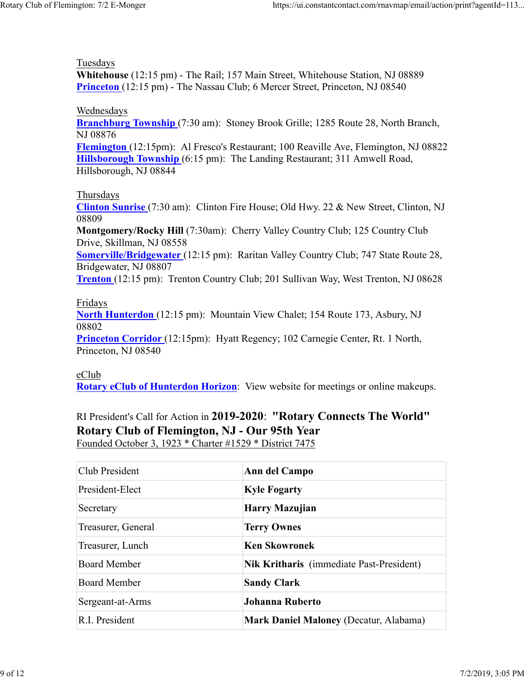#### Tuesdays

**Whitehouse** (12:15 pm) - The Rail; 157 Main Street, Whitehouse Station, NJ 08889 **Princeton** (12:15 pm) - The Nassau Club; 6 Mercer Street, Princeton, NJ 08540

#### Wednesdays

**Branchburg Township** (7:30 am): Stoney Brook Grille; 1285 Route 28, North Branch, NJ 08876

**Flemington** (12:15pm): Al Fresco's Restaurant; 100 Reaville Ave, Flemington, NJ 08822 **Hillsborough Township** (6:15 pm): The Landing Restaurant; 311 Amwell Road, Hillsborough, NJ 08844

### Thursdays

**Clinton Sunrise** (7:30 am): Clinton Fire House; Old Hwy. 22 & New Street, Clinton, NJ 08809

**Montgomery/Rocky Hill** (7:30am): Cherry Valley Country Club; 125 Country Club Drive, Skillman, NJ 08558

**Somerville/Bridgewater** (12:15 pm): Raritan Valley Country Club; 747 State Route 28, Bridgewater, NJ 08807

**Trenton** (12:15 pm): Trenton Country Club; 201 Sullivan Way, West Trenton, NJ 08628

### Fridays

**North Hunterdon** (12:15 pm): Mountain View Chalet; 154 Route 173, Asbury, NJ 08802

**Princeton Corridor** (12:15pm): Hyatt Regency; 102 Carnegie Center, Rt. 1 North, Princeton, NJ 08540

### eClub

**Rotary eClub of Hunterdon Horizon**: View website for meetings or online makeups.

## RI President's Call for Action in **2019-2020**: **"Rotary Connects The World" Rotary Club of Flemington, NJ - Our 95th Year** Founded October 3, 1923 \* Charter #1529 \* District 7475

| Club President      | Ann del Campo                                   |
|---------------------|-------------------------------------------------|
| President-Elect     | <b>Kyle Fogarty</b>                             |
| Secretary           | Harry Mazujian                                  |
| Treasurer, General  | <b>Terry Ownes</b>                              |
| Treasurer, Lunch    | <b>Ken Skowronek</b>                            |
| <b>Board Member</b> | <b>Nik Kritharis</b> (immediate Past-President) |
| <b>Board Member</b> | <b>Sandy Clark</b>                              |
| Sergeant-at-Arms    | <b>Johanna Ruberto</b>                          |
| R.I. President      | <b>Mark Daniel Maloney (Decatur, Alabama)</b>   |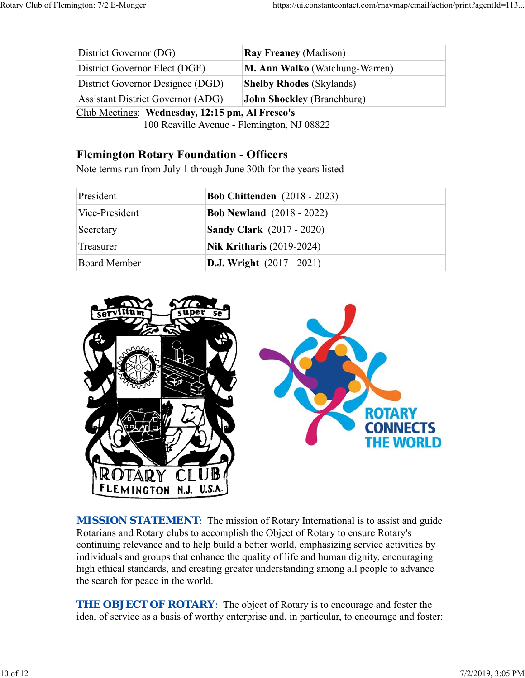| District Governor (DG)                                                                                                                                                                                                                                                                                                                                                                                                                                                                                                                                        | <b>Ray Freaney (Madison)</b>          |  |  |
|---------------------------------------------------------------------------------------------------------------------------------------------------------------------------------------------------------------------------------------------------------------------------------------------------------------------------------------------------------------------------------------------------------------------------------------------------------------------------------------------------------------------------------------------------------------|---------------------------------------|--|--|
| District Governor Elect (DGE)                                                                                                                                                                                                                                                                                                                                                                                                                                                                                                                                 | <b>M. Ann Walko</b> (Watchung-Warren) |  |  |
| District Governor Designee (DGD)                                                                                                                                                                                                                                                                                                                                                                                                                                                                                                                              | <b>Shelby Rhodes (Skylands)</b>       |  |  |
| <b>Assistant District Governor (ADG)</b>                                                                                                                                                                                                                                                                                                                                                                                                                                                                                                                      | <b>John Shockley</b> (Branchburg)     |  |  |
| Club Meetings: Wednesday, 12:15 pm, Al Fresco's<br>$\blacksquare$ $\blacksquare$ $\blacksquare$ $\blacksquare$ $\blacksquare$ $\blacksquare$ $\blacksquare$ $\blacksquare$ $\blacksquare$ $\blacksquare$ $\blacksquare$ $\blacksquare$ $\blacksquare$ $\blacksquare$ $\blacksquare$ $\blacksquare$ $\blacksquare$ $\blacksquare$ $\blacksquare$ $\blacksquare$ $\blacksquare$ $\blacksquare$ $\blacksquare$ $\blacksquare$ $\blacksquare$ $\blacksquare$ $\blacksquare$ $\blacksquare$ $\blacksquare$ $\blacksquare$ $\blacksquare$ $\blacks$<br>$\mathbf{1}$ |                                       |  |  |

100 Reaville Avenue - Flemington, NJ 08822

# **Flemington Rotary Foundation - Officers**

Note terms run from July 1 through June 30th for the years listed

| President      | <b>Bob Chittenden</b> (2018 - 2023) |
|----------------|-------------------------------------|
| Vice-President | <b>Bob Newland</b> (2018 - 2022)    |
| Secretary      | <b>Sandy Clark</b> (2017 - 2020)    |
| Treasurer      | <b>Nik Kritharis</b> (2019-2024)    |
| Board Member   | <b>D.J.</b> Wright $(2017 - 2021)$  |



**MISSION STATEMENT:** The mission of Rotary International is to assist and guide Rotarians and Rotary clubs to accomplish the Object of Rotary to ensure Rotary's continuing relevance and to help build a better world, emphasizing service activities by individuals and groups that enhance the quality of life and human dignity, encouraging high ethical standards, and creating greater understanding among all people to advance the search for peace in the world.

**THE OBJECT OF ROTARY:** The object of Rotary is to encourage and foster the ideal of service as a basis of worthy enterprise and, in particular, to encourage and foster: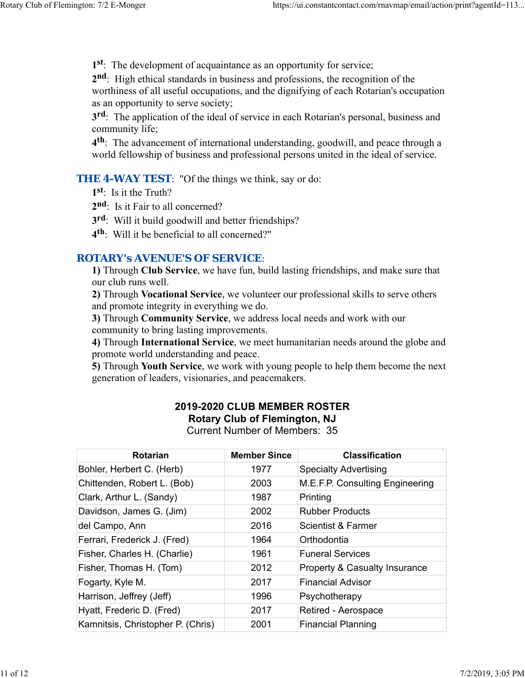**1st**: The development of acquaintance as an opportunity for service;

**2nd**: High ethical standards in business and professions, the recognition of the worthiness of all useful occupations, and the dignifying of each Rotarian's occupation as an opportunity to serve society;

**3rd**: The application of the ideal of service in each Rotarian's personal, business and community life;

**4th**: The advancement of international understanding, goodwill, and peace through a world fellowship of business and professional persons united in the ideal of service.

**THE 4-WAY TEST:** "Of the things we think, say or do:

- **1st**: Is it the Truth?
- 2<sup>nd</sup>: Is it Fair to all concerned?
- **3rd**: Will it build goodwill and better friendships?
- **4th**: Will it be beneficial to all concerned?"

### *ROTARY's AVENUE'S OF SERVICE*:

**1)** Through **Club Service**, we have fun, build lasting friendships, and make sure that our club runs well.

**2)** Through **Vocational Service**, we volunteer our professional skills to serve others and promote integrity in everything we do.

**3)** Through **Community Service**, we address local needs and work with our community to bring lasting improvements.

**4)** Through **International Service**, we meet humanitarian needs around the globe and promote world understanding and peace.

**5)** Through **Youth Service**, we work with young people to help them become the next generation of leaders, visionaries, and peacemakers.

# **2019-2020 CLUB MEMBER ROSTER Rotary Club of Flemington, NJ**

Current Number of Members: 35

| <b>Rotarian</b>                   | <b>Member Since</b> | <b>Classification</b>           |
|-----------------------------------|---------------------|---------------------------------|
| Bohler, Herbert C. (Herb)         | 1977                | <b>Specialty Advertising</b>    |
| Chittenden, Robert L. (Bob)       | 2003                | M.E.F.P. Consulting Engineering |
| Clark, Arthur L. (Sandy)          | 1987                | Printing                        |
| Davidson, James G. (Jim)          | 2002                | <b>Rubber Products</b>          |
| del Campo, Ann                    | 2016                | <b>Scientist &amp; Farmer</b>   |
| Ferrari, Frederick J. (Fred)      | 1964                | Orthodontia                     |
| Fisher, Charles H. (Charlie)      | 1961                | <b>Funeral Services</b>         |
| Fisher, Thomas H. (Tom)           | 2012                | Property & Casualty Insurance   |
| Fogarty, Kyle M.                  | 2017                | <b>Financial Advisor</b>        |
| Harrison, Jeffrey (Jeff)          | 1996                | Psychotherapy                   |
| Hyatt, Frederic D. (Fred)         | 2017                | Retired - Aerospace             |
| Kamnitsis, Christopher P. (Chris) | 2001                | <b>Financial Planning</b>       |